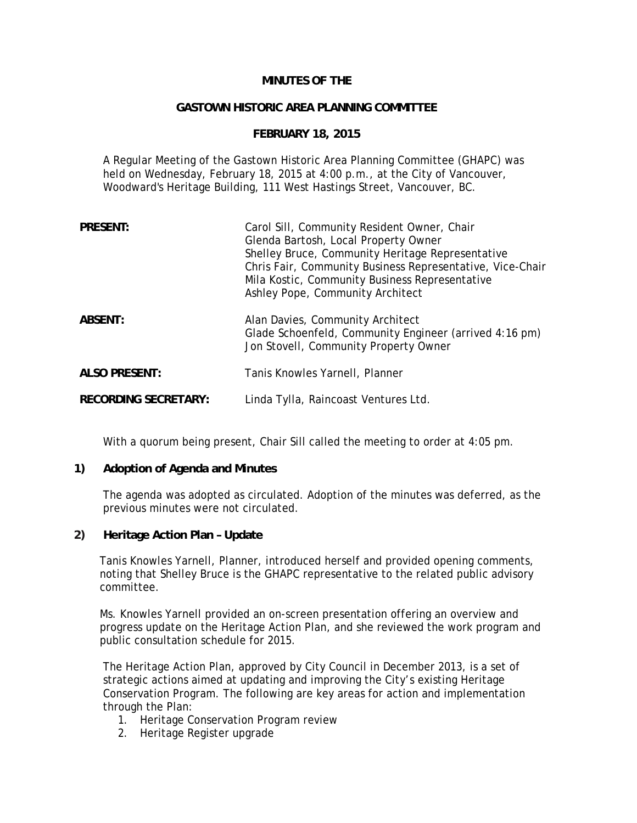# **MINUTES OF THE**

### **GASTOWN HISTORIC AREA PLANNING COMMITTEE**

## **FEBRUARY 18, 2015**

A Regular Meeting of the Gastown Historic Area Planning Committee (GHAPC) was held on Wednesday, February 18, 2015 at 4:00 p.m., at the City of Vancouver, Woodward's Heritage Building, 111 West Hastings Street, Vancouver, BC.

| <b>PRESENT:</b>             | Carol Sill, Community Resident Owner, Chair<br>Glenda Bartosh, Local Property Owner<br>Shelley Bruce, Community Heritage Representative<br>Chris Fair, Community Business Representative, Vice-Chair<br>Mila Kostic, Community Business Representative<br>Ashley Pope, Community Architect |
|-----------------------------|--------------------------------------------------------------------------------------------------------------------------------------------------------------------------------------------------------------------------------------------------------------------------------------------|
| ABSENT:                     | Alan Davies, Community Architect<br>Glade Schoenfeld, Community Engineer (arrived 4:16 pm)<br>Jon Stovell, Community Property Owner                                                                                                                                                        |
| <b>ALSO PRESENT:</b>        | Tanis Knowles Yarnell, Planner                                                                                                                                                                                                                                                             |
| <b>RECORDING SECRETARY:</b> | Linda Tylla, Raincoast Ventures Ltd.                                                                                                                                                                                                                                                       |

With a quorum being present, Chair Sill called the meeting to order at 4:05 pm.

## **1) Adoption of Agenda and Minutes**

The agenda was adopted as circulated. Adoption of the minutes was deferred, as the previous minutes were not circulated.

## **2) Heritage Action Plan – Update**

Tanis Knowles Yarnell, Planner, introduced herself and provided opening comments, noting that Shelley Bruce is the GHAPC representative to the related public advisory committee.

Ms. Knowles Yarnell provided an on-screen presentation offering an overview and progress update on the Heritage Action Plan, and she reviewed the work program and public consultation schedule for 2015.

The Heritage Action Plan, approved by City Council in December 2013, is a set of strategic actions aimed at updating and improving the City's existing Heritage Conservation Program. The following are key areas for action and implementation through the Plan:

- 1. Heritage Conservation Program review
- 2. Heritage Register upgrade